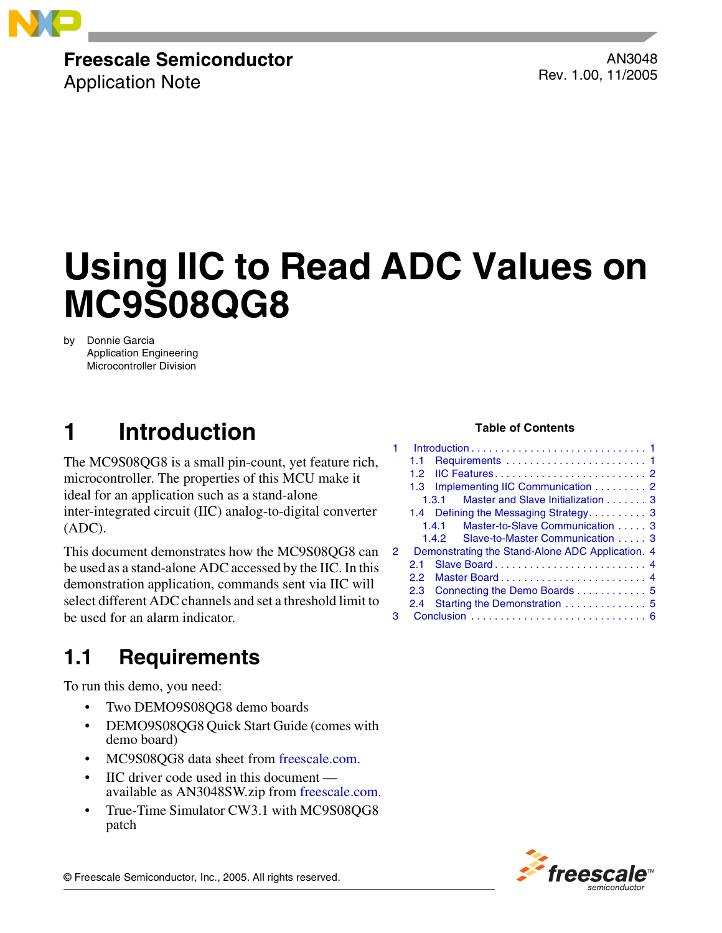

## **Freescale Semiconductor**

Application Note

AN3048 Rev. 1.00, 11/2005

# **Using IIC to Read ADC Values on MC9S08QG8**

by Donnie Garcia Application Engineering Microcontroller Division

## <span id="page-0-0"></span>**1** Introduction **1** Introduction

The MC9S08QG8 is a small pin-count, yet feature rich, microcontroller. The properties of this MCU make it ideal for an application such as a stand-alone inter-integrated circuit (IIC) analog-to-digital converter (ADC).

This document demonstrates how the MC9S08QG8 can 2 be used as a stand-alone ADC accessed by the IIC. In this demonstration application, commands sent via IIC will select different ADC channels and set a threshold limit to be used for an alarm indicator.

### <span id="page-0-1"></span>**1.1 Requirements**

To run this demo, you need:

- Two DEMO9S08QG8 demo boards
- DEMO9S08QG8 Quick Start Guide (comes with demo board)
- MC9S08QG8 data sheet from [freescale.com.](http://www.freescale.com)
- IIC driver code used in this document available as AN3048SW.zip from [freescale.com.](http://www.freescale.com)
- True-Time Simulator CW3.1 with MC9S08QG8 patch

| 1 |                                     |       |                                                  |
|---|-------------------------------------|-------|--------------------------------------------------|
|   | 1.1                                 |       |                                                  |
|   | 1.2 <sub>1</sub>                    |       |                                                  |
|   | 1.3 <sup>°</sup>                    |       | Implementing IIC Communication 2                 |
|   |                                     | 1.3.1 | Master and Slave Initialization 3                |
|   |                                     |       | 1.4 Defining the Messaging Strategy 3            |
|   | 1.4.1                               |       | Master-to-Slave Communication 3                  |
|   |                                     | 1.4.2 | Slave-to-Master Communication 3                  |
| 2 |                                     |       | Demonstrating the Stand-Alone ADC Application. 4 |
|   | 21                                  |       |                                                  |
|   | 2.2                                 |       | Master Board 4                                   |
|   | Connecting the Demo Boards 5<br>2.3 |       |                                                  |
|   | 2.4                                 |       |                                                  |
| 3 |                                     |       |                                                  |
|   |                                     |       |                                                  |

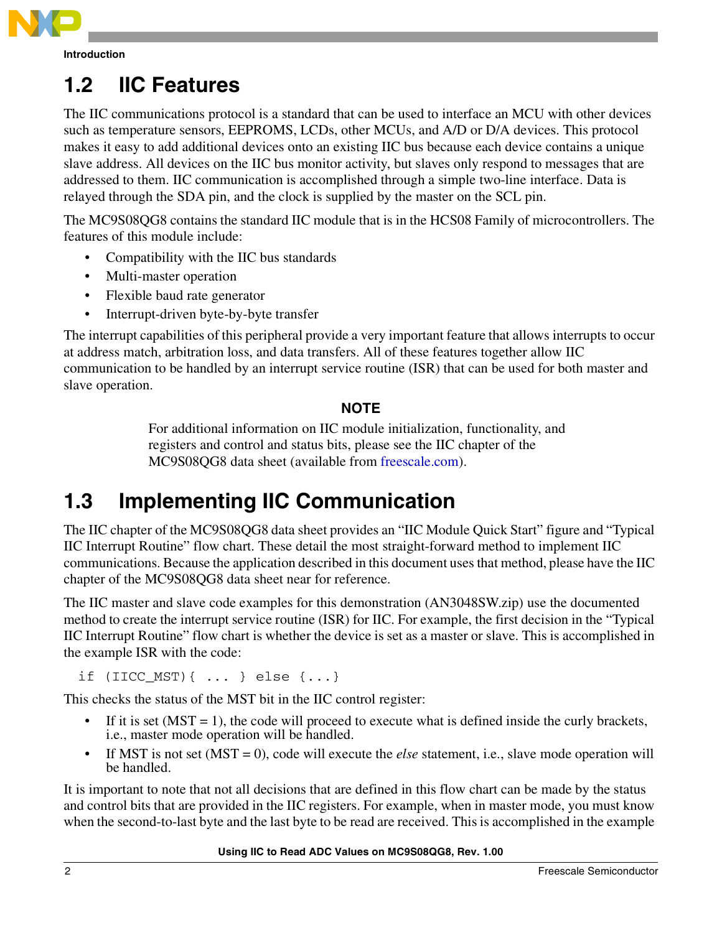

### <span id="page-1-0"></span>**1.2 IIC Features**

The IIC communications protocol is a standard that can be used to interface an MCU with other devices such as temperature sensors, EEPROMS, LCDs, other MCUs, and A/D or D/A devices. This protocol makes it easy to add additional devices onto an existing IIC bus because each device contains a unique slave address. All devices on the IIC bus monitor activity, but slaves only respond to messages that are addressed to them. IIC communication is accomplished through a simple two-line interface. Data is relayed through the SDA pin, and the clock is supplied by the master on the SCL pin.

The MC9S08QG8 contains the standard IIC module that is in the HCS08 Family of microcontrollers. The features of this module include:

- Compatibility with the IIC bus standards
- Multi-master operation
- Flexible baud rate generator
- Interrupt-driven byte-by-byte transfer

The interrupt capabilities of this peripheral provide a very important feature that allows interrupts to occur at address match, arbitration loss, and data transfers. All of these features together allow IIC communication to be handled by an interrupt service routine (ISR) that can be used for both master and slave operation.

#### **NOTE**

For additional information on IIC module initialization, functionality, and registers and control and status bits, please see the IIC chapter of the MC9S08QG8 data sheet (available from [freescale.com](http://www.freescale.com)).

### <span id="page-1-1"></span>**1.3 Implementing IIC Communication**

The IIC chapter of the MC9S08QG8 data sheet provides an "IIC Module Quick Start" figure and "Typical IIC Interrupt Routine" flow chart. These detail the most straight-forward method to implement IIC communications. Because the application described in this document uses that method, please have the IIC chapter of the MC9S08QG8 data sheet near for reference.

The IIC master and slave code examples for this demonstration (AN3048SW.zip) use the documented method to create the interrupt service routine (ISR) for IIC. For example, the first decision in the "Typical IIC Interrupt Routine" flow chart is whether the device is set as a master or slave. This is accomplished in the example ISR with the code:

if (IICC\_MST){ ... } else {...}

This checks the status of the MST bit in the IIC control register:

- If it is set  $(MST = 1)$ , the code will proceed to execute what is defined inside the curly brackets, i.e., master mode operation will be handled.
- If MST is not set (MST = 0), code will execute the *else* statement, i.e., slave mode operation will be handled.

It is important to note that not all decisions that are defined in this flow chart can be made by the status and control bits that are provided in the IIC registers. For example, when in master mode, you must know when the second-to-last byte and the last byte to be read are received. This is accomplished in the example

#### **Using IIC to Read ADC Values on MC9S08QG8, Rev. 1.00**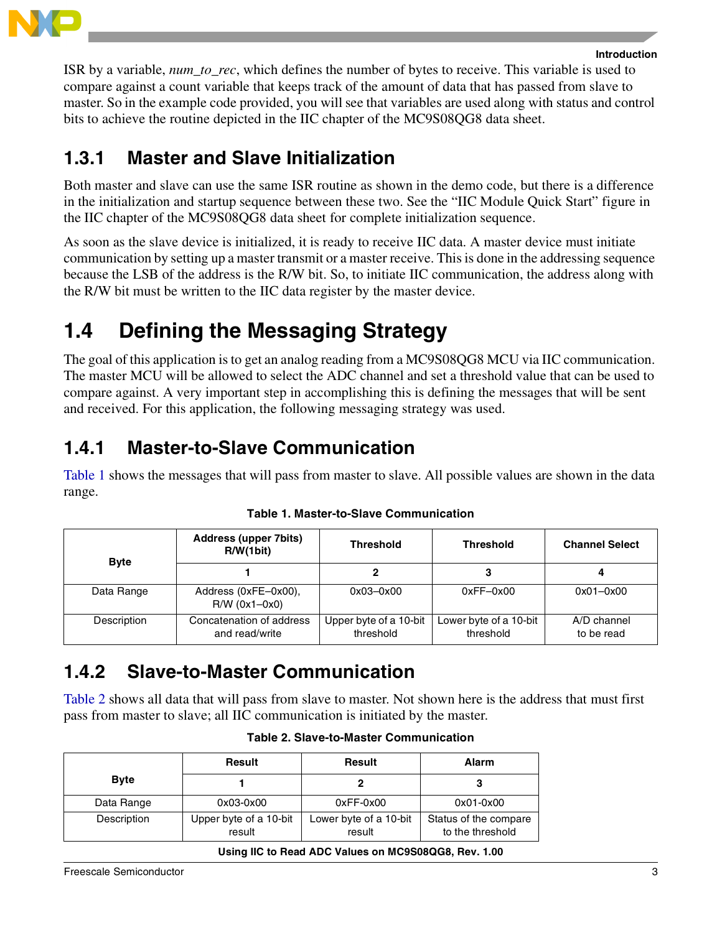

ISR by a variable, *num\_to\_rec*, which defines the number of bytes to receive. This variable is used to compare against a count variable that keeps track of the amount of data that has passed from slave to master. So in the example code provided, you will see that variables are used along with status and control bits to achieve the routine depicted in the IIC chapter of the MC9S08QG8 data sheet.

#### <span id="page-2-0"></span>**1.3.1 Master and Slave Initialization**

Both master and slave can use the same ISR routine as shown in the demo code, but there is a difference in the initialization and startup sequence between these two. See the "IIC Module Quick Start" figure in the IIC chapter of the MC9S08QG8 data sheet for complete initialization sequence.

As soon as the slave device is initialized, it is ready to receive IIC data. A master device must initiate communication by setting up a master transmit or a master receive. This is done in the addressing sequence because the LSB of the address is the R/W bit. So, to initiate IIC communication, the address along with the R/W bit must be written to the IIC data register by the master device.

### <span id="page-2-1"></span>**1.4 Defining the Messaging Strategy**

The goal of this application is to get an analog reading from a MC9S08QG8 MCU via IIC communication. The master MCU will be allowed to select the ADC channel and set a threshold value that can be used to compare against. A very important step in accomplishing this is defining the messages that will be sent and received. For this application, the following messaging strategy was used.

### <span id="page-2-2"></span>**1.4.1 Master-to-Slave Communication**

[Table 1](#page-2-4) shows the messages that will pass from master to slave. All possible values are shown in the data range.

<span id="page-2-4"></span>

| <b>Byte</b> | <b>Address (upper 7bits)</b><br>R/W(1bit)  | <b>Threshold</b>                    | <b>Threshold</b>                    | <b>Channel Select</b>     |  |
|-------------|--------------------------------------------|-------------------------------------|-------------------------------------|---------------------------|--|
|             |                                            |                                     |                                     |                           |  |
| Data Range  | Address (0xFE-0x00),<br>$R/W (0x1 - 0x0)$  | $0x03 - 0x00$                       | $0xFF-0x00$                         | $0x01 - 0x00$             |  |
| Description | Concatenation of address<br>and read/write | Upper byte of a 10-bit<br>threshold | Lower byte of a 10-bit<br>threshold | A/D channel<br>to be read |  |

**Table 1. Master-to-Slave Communication**

### <span id="page-2-3"></span>**1.4.2 Slave-to-Master Communication**

[Table 2](#page-2-5) shows all data that will pass from slave to master. Not shown here is the address that must first pass from master to slave; all IIC communication is initiated by the master.

<span id="page-2-5"></span>

|             | Result                           | Result                           | Alarm                                     |
|-------------|----------------------------------|----------------------------------|-------------------------------------------|
| <b>Byte</b> |                                  |                                  |                                           |
| Data Range  | 0x03-0x00                        | $0xFF-0x00$                      | 0x01-0x00                                 |
| Description | Upper byte of a 10-bit<br>result | Lower byte of a 10-bit<br>result | Status of the compare<br>to the threshold |

**Using IIC to Read ADC Values on MC9S08QG8, Rev. 1.00**

**Freescale Semiconductor** 3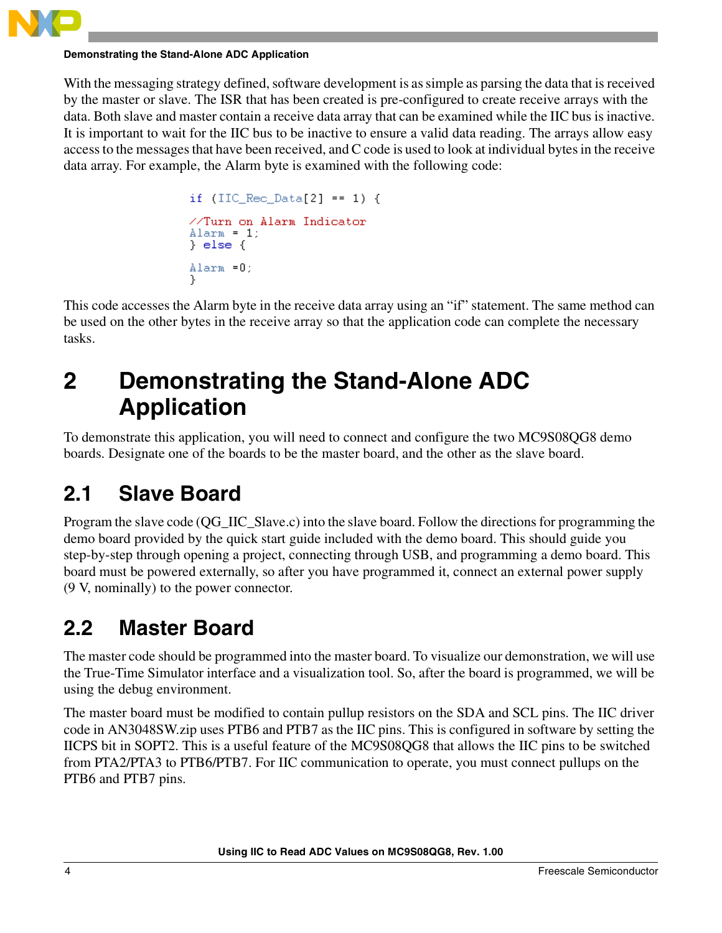

#### **Demonstrating the Stand-Alone ADC Application**

With the messaging strategy defined, software development is as simple as parsing the data that is received by the master or slave. The ISR that has been created is pre-configured to create receive arrays with the data. Both slave and master contain a receive data array that can be examined while the IIC bus is inactive. It is important to wait for the IIC bus to be inactive to ensure a valid data reading. The arrays allow easy access to the messages that have been received, and C code is used to look at individual bytes in the receive data array. For example, the Alarm byte is examined with the following code:

```
if (IIC Rec Data[2] == 1) {
//Turn on Alarm Indicator
Alarm = 1;
} else \{\text{Alarm} = 0;
}
```
This code accesses the Alarm byte in the receive data array using an "if" statement. The same method can be used on the other bytes in the receive array so that the application code can complete the necessary tasks.

### <span id="page-3-0"></span>**2 Demonstrating the Stand-Alone ADC Application**

To demonstrate this application, you will need to connect and configure the two MC9S08QG8 demo boards. Designate one of the boards to be the master board, and the other as the slave board.

### <span id="page-3-1"></span>**2.1 Slave Board**

Program the slave code (QG\_IIC\_Slave.c) into the slave board. Follow the directions for programming the demo board provided by the quick start guide included with the demo board. This should guide you step-by-step through opening a project, connecting through USB, and programming a demo board. This board must be powered externally, so after you have programmed it, connect an external power supply (9 V, nominally) to the power connector.

### <span id="page-3-2"></span>**2.2 Master Board**

The master code should be programmed into the master board. To visualize our demonstration, we will use the True-Time Simulator interface and a visualization tool. So, after the board is programmed, we will be using the debug environment.

The master board must be modified to contain pullup resistors on the SDA and SCL pins. The IIC driver code in AN3048SW.zip uses PTB6 and PTB7 as the IIC pins. This is configured in software by setting the IICPS bit in SOPT2. This is a useful feature of the MC9S08QG8 that allows the IIC pins to be switched from PTA2/PTA3 to PTB6/PTB7. For IIC communication to operate, you must connect pullups on the PTB6 and PTB7 pins.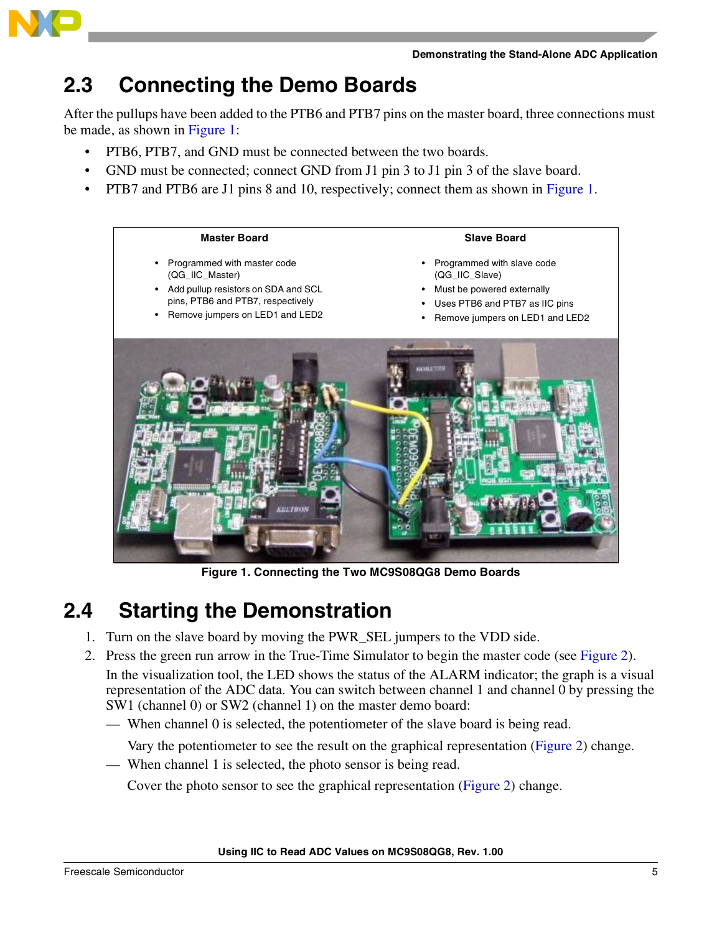

### <span id="page-4-0"></span>**2.3 Connecting the Demo Boards**

After the pullups have been added to the PTB6 and PTB7 pins on the master board, three connections must be made, as shown in [Figure 1](#page-4-2):

- PTB6, PTB7, and GND must be connected between the two boards.
- GND must be connected; connect GND from J1 pin 3 to J1 pin 3 of the slave board.
- PTB7 and PTB6 are J1 pins 8 and 10, respectively; connect them as shown in [Figure 1](#page-4-2).

#### **Master Board Slave Board** Slave Board

- Programmed with master code (QG\_IIC\_Master)
- Add pullup resistors on SDA and SCL pins, PTB6 and PTB7, respectively
- Remove jumpers on LED1 and LED2
- Programmed with slave code (QG\_IIC\_Slave)
- Must be powered externally
- Uses PTB6 and PTB7 as IIC pins
- Remove jumpers on LED1 and LED2



**Figure 1. Connecting the Two MC9S08QG8 Demo Boards**

### <span id="page-4-2"></span><span id="page-4-1"></span>**2.4 Starting the Demonstration**

- 1. Turn on the slave board by moving the PWR\_SEL jumpers to the VDD side.
- 2. Press the green run arrow in the True-Time Simulator to begin the master code (see [Figure 2\)](#page-5-1). In the visualization tool, the LED shows the status of the ALARM indicator; the graph is a visual representation of the ADC data. You can switch between channel 1 and channel 0 by pressing the SW1 (channel 0) or SW2 (channel 1) on the master demo board:
	- When channel 0 is selected, the potentiometer of the slave board is being read.
		- Vary the potentiometer to see the result on the graphical representation [\(Figure 2](#page-5-1)) change.
	- When channel 1 is selected, the photo sensor is being read.
		- Cover the photo sensor to see the graphical representation ([Figure 2](#page-5-1)) change.

#### **Using IIC to Read ADC Values on MC9S08QG8, Rev. 1.00**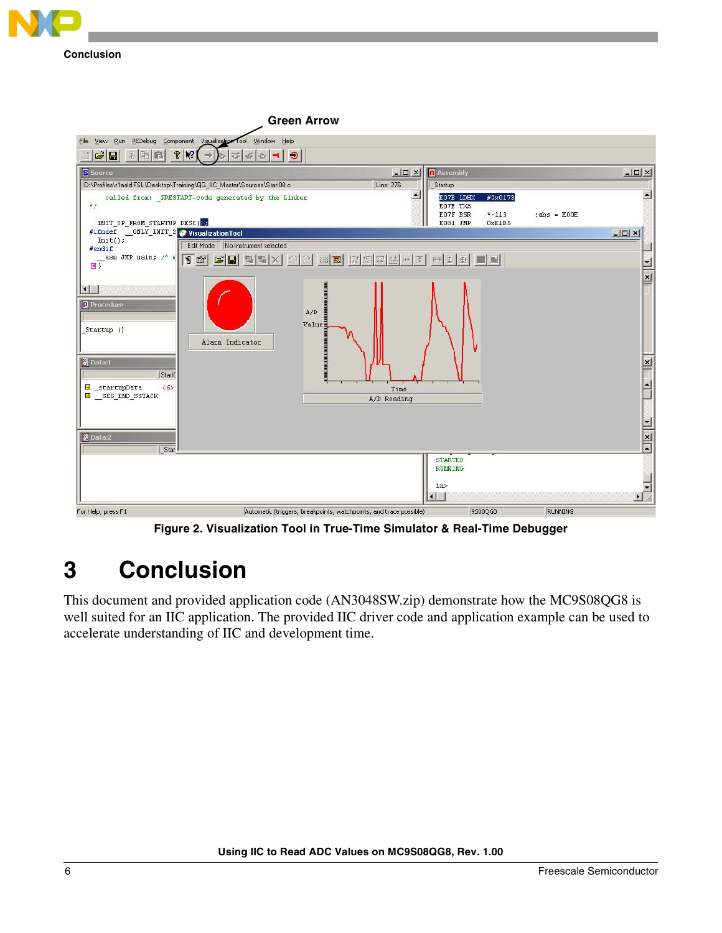



**Figure 2. Visualization Tool in True-Time Simulator & Real-Time Debugger**

## <span id="page-5-1"></span><span id="page-5-0"></span>**3 Conclusion**

This document and provided application code (AN3048SW.zip) demonstrate how the MC9S08QG8 is well suited for an IIC application. The provided IIC driver code and application example can be used to accelerate understanding of IIC and development time.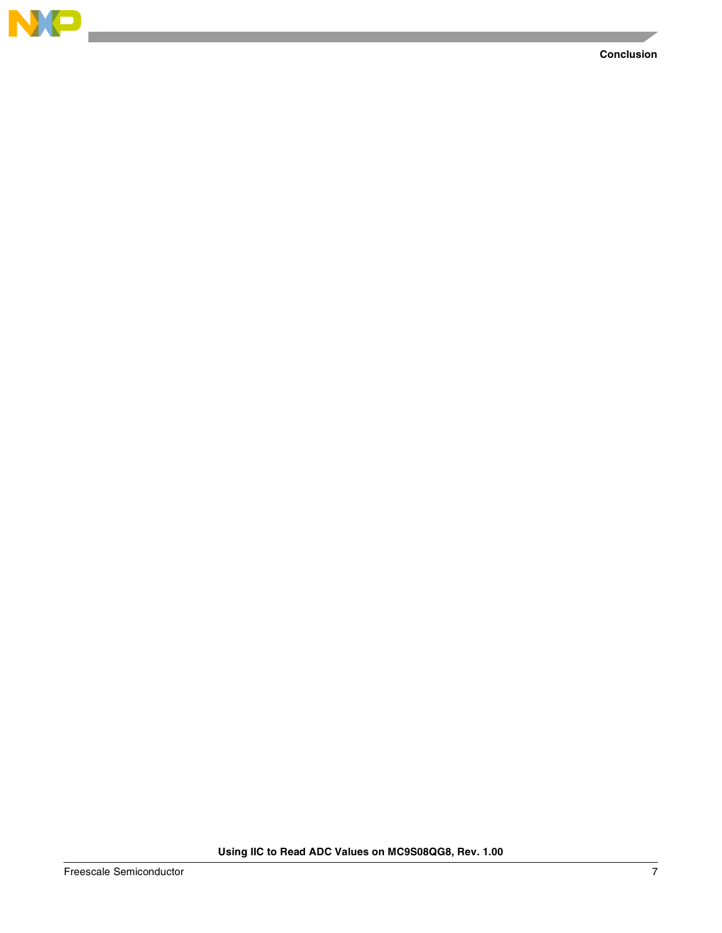

 $\overline{\phantom{a}}$ 

**Conclusion**